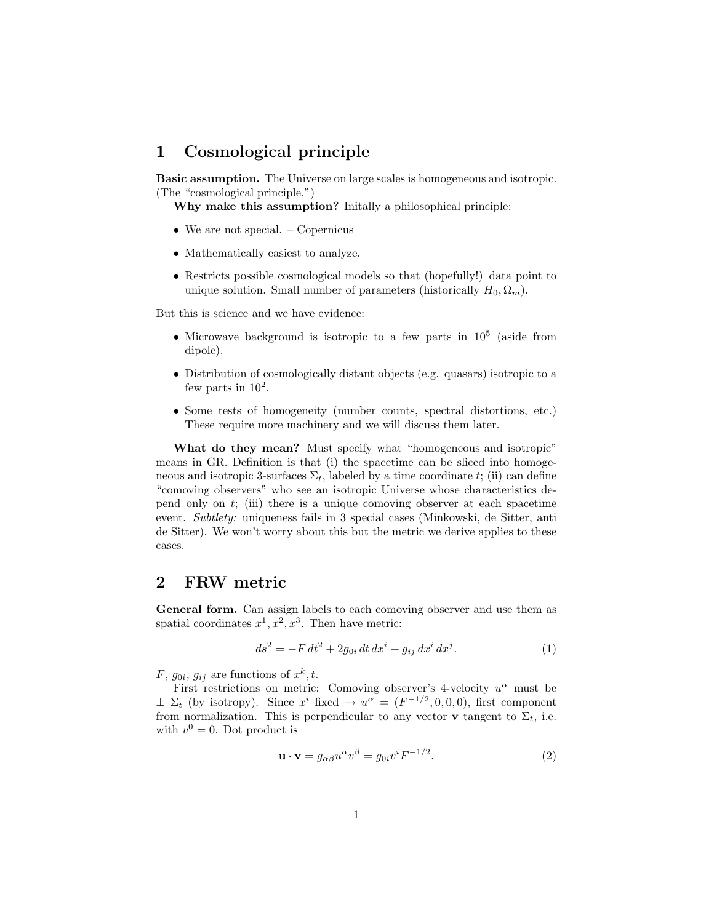# 1 Cosmological principle

Basic assumption. The Universe on large scales is homogeneous and isotropic. (The "cosmological principle.")

Why make this assumption? Initally a philosophical principle:

- We are not special. Copernicus
- Mathematically easiest to analyze.
- Restricts possible cosmological models so that (hopefully!) data point to unique solution. Small number of parameters (historically  $H_0, \Omega_m$ ).

But this is science and we have evidence:

- Microwave background is isotropic to a few parts in  $10^5$  (aside from dipole).
- Distribution of cosmologically distant objects (e.g. quasars) isotropic to a few parts in  $10^2$ .
- Some tests of homogeneity (number counts, spectral distortions, etc.) These require more machinery and we will discuss them later.

What do they mean? Must specify what "homogeneous and isotropic" means in GR. Definition is that (i) the spacetime can be sliced into homogeneous and isotropic 3-surfaces  $\Sigma_t$ , labeled by a time coordinate t; (ii) can define "comoving observers" who see an isotropic Universe whose characteristics depend only on  $t$ ; (iii) there is a unique comoving observer at each spacetime event. Subtlety: uniqueness fails in 3 special cases (Minkowski, de Sitter, anti de Sitter). We won't worry about this but the metric we derive applies to these cases.

## 2 FRW metric

General form. Can assign labels to each comoving observer and use them as spatial coordinates  $x^1, x^2, x^3$ . Then have metric:

$$
ds^{2} = -F dt^{2} + 2g_{0i} dt dx^{i} + g_{ij} dx^{i} dx^{j}.
$$
 (1)

 $F, g_{0i}, g_{ij}$  are functions of  $x^k, t$ .

First restrictions on metric: Comoving observer's 4-velocity  $u^{\alpha}$  must be  $\perp \Sigma_t$  (by isotropy). Since  $x^i$  fixed  $\rightarrow u^{\alpha} = (F^{-1/2}, 0, 0, 0)$ , first component from normalization. This is perpendicular to any vector **v** tangent to  $\Sigma_t$ , i.e. with  $v^0 = 0$ . Dot product is

$$
\mathbf{u} \cdot \mathbf{v} = g_{\alpha\beta} u^{\alpha} v^{\beta} = g_{0i} v^{i} F^{-1/2}.
$$
 (2)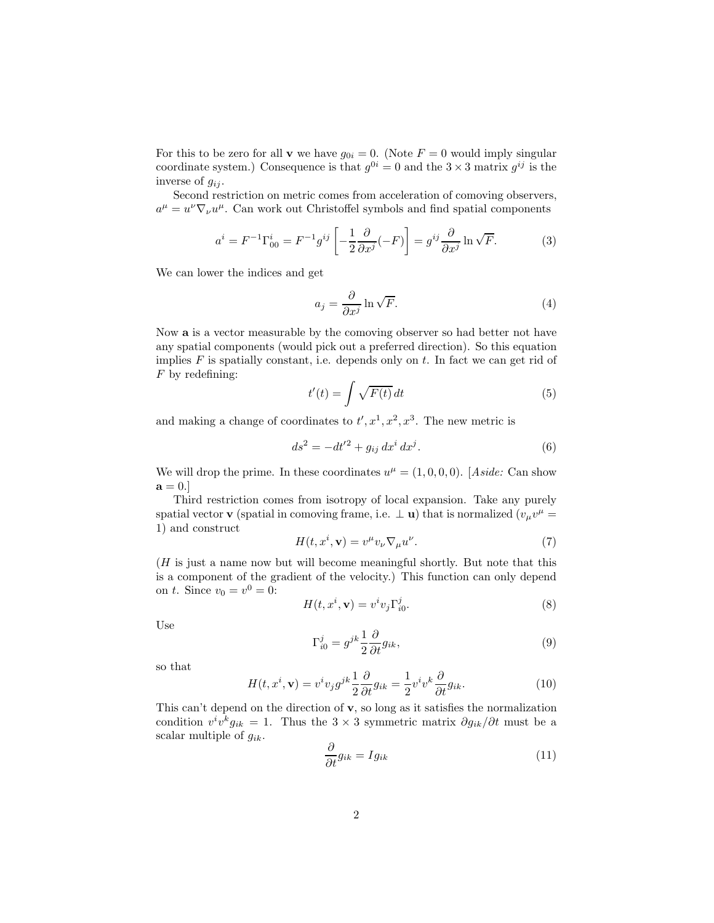For this to be zero for all **v** we have  $g_{0i} = 0$ . (Note  $F = 0$  would imply singular coordinate system.) Consequence is that  $g^{0i} = 0$  and the  $3 \times 3$  matrix  $g^{ij}$  is the inverse of  $g_{ij}$ .

Second restriction on metric comes from acceleration of comoving observers,  $a^{\mu} = u^{\nu} \nabla_{\nu} u^{\mu}$ . Can work out Christoffel symbols and find spatial components

$$
a^{i} = F^{-1} \Gamma_{00}^{i} = F^{-1} g^{ij} \left[ -\frac{1}{2} \frac{\partial}{\partial x^{j}} (-F) \right] = g^{ij} \frac{\partial}{\partial x^{j}} \ln \sqrt{F}.
$$
 (3)

We can lower the indices and get

$$
a_j = \frac{\partial}{\partial x^j} \ln \sqrt{F}.\tag{4}
$$

Now a is a vector measurable by the comoving observer so had better not have any spatial components (would pick out a preferred direction). So this equation implies  $F$  is spatially constant, i.e. depends only on  $t$ . In fact we can get rid of  $F$  by redefining:

$$
t'(t) = \int \sqrt{F(t)} dt
$$
\n(5)

and making a change of coordinates to  $t', x^1, x^2, x^3$ . The new metric is

$$
ds^2 = -dt'^2 + g_{ij} dx^i dx^j.
$$
 (6)

We will drop the prime. In these coordinates  $u^{\mu} = (1, 0, 0, 0)$ . [Aside: Can show  $\mathbf{a}=0.$ 

Third restriction comes from isotropy of local expansion. Take any purely spatial vector **v** (spatial in comoving frame, i.e.  $\perp$  **u**) that is normalized ( $v_{\mu}v^{\mu}$  = 1) and construct

$$
H(t, x^i, \mathbf{v}) = v^{\mu} v_{\nu} \nabla_{\mu} u^{\nu}.
$$
 (7)

(H is just a name now but will become meaningful shortly. But note that this is a component of the gradient of the velocity.) This function can only depend on *t*. Since  $v_0 = v^0 = 0$ :

$$
H(t, x^i, \mathbf{v}) = v^i v_j \Gamma_{i0}^j.
$$
 (8)

Use

$$
\Gamma_{i0}^{j} = g^{jk} \frac{1}{2} \frac{\partial}{\partial t} g_{ik},\tag{9}
$$

so that

$$
H(t, x^{i}, \mathbf{v}) = v^{i} v_{j} g^{jk} \frac{1}{2} \frac{\partial}{\partial t} g_{ik} = \frac{1}{2} v^{i} v^{k} \frac{\partial}{\partial t} g_{ik}.
$$
 (10)

This can't depend on the direction of v, so long as it satisfies the normalization condition  $v^i v^k g_{ik} = 1$ . Thus the 3 × 3 symmetric matrix  $\partial g_{ik}/\partial t$  must be a scalar multiple of  $g_{ik}$ .

$$
\frac{\partial}{\partial t}g_{ik} = Ig_{ik} \tag{11}
$$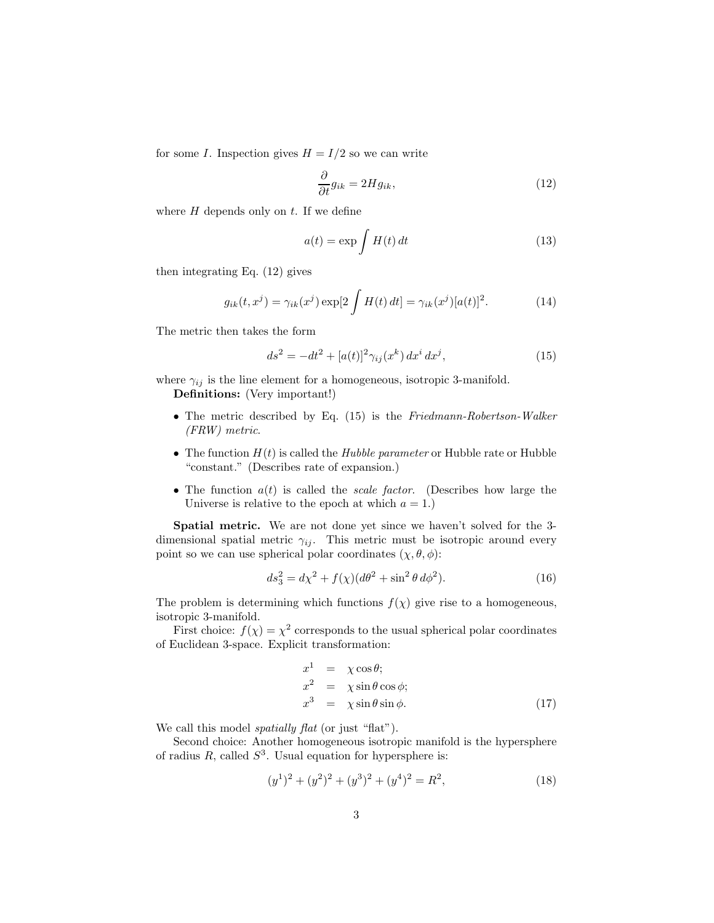for some I. Inspection gives  $H = I/2$  so we can write

$$
\frac{\partial}{\partial t}g_{ik} = 2Hg_{ik},\tag{12}
$$

where  $H$  depends only on  $t$ . If we define

$$
a(t) = \exp \int H(t) dt
$$
 (13)

then integrating Eq. (12) gives

$$
g_{ik}(t, x^j) = \gamma_{ik}(x^j) \exp[2 \int H(t) dt] = \gamma_{ik}(x^j) [a(t)]^2.
$$
 (14)

The metric then takes the form

$$
ds^{2} = -dt^{2} + [a(t)]^{2} \gamma_{ij}(x^{k}) dx^{i} dx^{j}, \qquad (15)
$$

where  $\gamma_{ij}$  is the line element for a homogeneous, isotropic 3-manifold. Definitions: (Very important!)

- The metric described by Eq. (15) is the Friedmann-Robertson-Walker (FRW) metric.
- The function  $H(t)$  is called the Hubble parameter or Hubble rate or Hubble "constant." (Describes rate of expansion.)
- The function  $a(t)$  is called the *scale factor*. (Describes how large the Universe is relative to the epoch at which  $a = 1$ .

Spatial metric. We are not done yet since we haven't solved for the 3 dimensional spatial metric  $\gamma_{ij}$ . This metric must be isotropic around every point so we can use spherical polar coordinates  $(\chi, \theta, \phi)$ :

$$
ds_3^2 = d\chi^2 + f(\chi)(d\theta^2 + \sin^2\theta \, d\phi^2). \tag{16}
$$

The problem is determining which functions  $f(\chi)$  give rise to a homogeneous, isotropic 3-manifold.

First choice:  $f(\chi) = \chi^2$  corresponds to the usual spherical polar coordinates of Euclidean 3-space. Explicit transformation:

$$
x1 = \chi \cos \theta;
$$
  
\n
$$
x2 = \chi \sin \theta \cos \phi;
$$
  
\n
$$
x3 = \chi \sin \theta \sin \phi.
$$
 (17)

We call this model *spatially flat* (or just "flat").

Second choice: Another homogeneous isotropic manifold is the hypersphere of radius  $R$ , called  $S^3$ . Usual equation for hypersphere is:

$$
(y1)2 + (y2)2 + (y3)2 + (y4)2 = R2,
$$
 (18)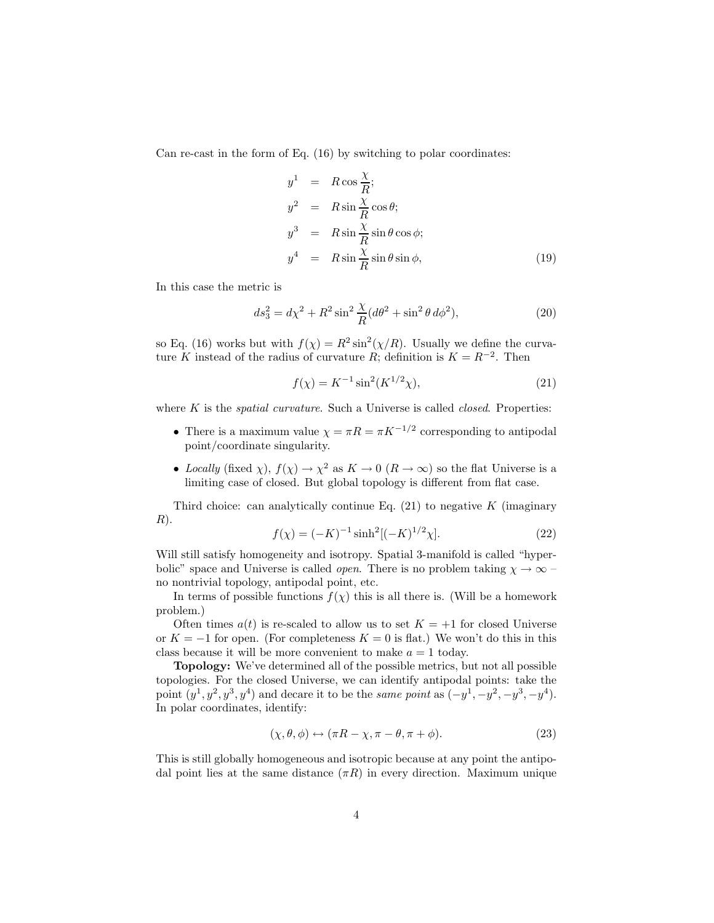Can re-cast in the form of Eq. (16) by switching to polar coordinates:

$$
y^{1} = R \cos \frac{\chi}{R};
$$
  
\n
$$
y^{2} = R \sin \frac{\chi}{R} \cos \theta;
$$
  
\n
$$
y^{3} = R \sin \frac{\chi}{R} \sin \theta \cos \phi;
$$
  
\n
$$
y^{4} = R \sin \frac{\chi}{R} \sin \theta \sin \phi,
$$
\n(19)

In this case the metric is

$$
ds_3^2 = d\chi^2 + R^2 \sin^2 \frac{\chi}{R} (d\theta^2 + \sin^2 \theta \, d\phi^2),\tag{20}
$$

so Eq. (16) works but with  $f(\chi) = R^2 \sin^2(\chi/R)$ . Usually we define the curvature K instead of the radius of curvature R; definition is  $K = R^{-2}$ . Then

$$
f(\chi) = K^{-1} \sin^2(K^{1/2}\chi),\tag{21}
$$

where  $K$  is the *spatial curvature*. Such a Universe is called *closed*. Properties:

- There is a maximum value  $\chi = \pi R = \pi K^{-1/2}$  corresponding to antipodal point/coordinate singularity.
- Locally (fixed  $\chi$ ),  $f(\chi) \to \chi^2$  as  $K \to 0$  ( $R \to \infty$ ) so the flat Universe is a limiting case of closed. But global topology is different from flat case.

Third choice: can analytically continue Eq.  $(21)$  to negative K (imaginary  $R$ ).

$$
f(\chi) = (-K)^{-1} \sinh^{2} [(-K)^{1/2} \chi].
$$
\n(22)

Will still satisfy homogeneity and isotropy. Spatial 3-manifold is called "hyperbolic" space and Universe is called *open*. There is no problem taking  $\chi \to \infty$ no nontrivial topology, antipodal point, etc.

In terms of possible functions  $f(\chi)$  this is all there is. (Will be a homework problem.)

Often times  $a(t)$  is re-scaled to allow us to set  $K = +1$  for closed Universe or  $K = -1$  for open. (For completeness  $K = 0$  is flat.) We won't do this in this class because it will be more convenient to make  $a = 1$  today.

Topology: We've determined all of the possible metrics, but not all possible topologies. For the closed Universe, we can identify antipodal points: take the point  $(y^1, y^2, y^3, y^4)$  and decare it to be the *same point* as  $(-y^1, -y^2, -y^3, -y^4)$ . In polar coordinates, identify:

$$
(\chi, \theta, \phi) \leftrightarrow (\pi R - \chi, \pi - \theta, \pi + \phi). \tag{23}
$$

This is still globally homogeneous and isotropic because at any point the antipodal point lies at the same distance  $(\pi R)$  in every direction. Maximum unique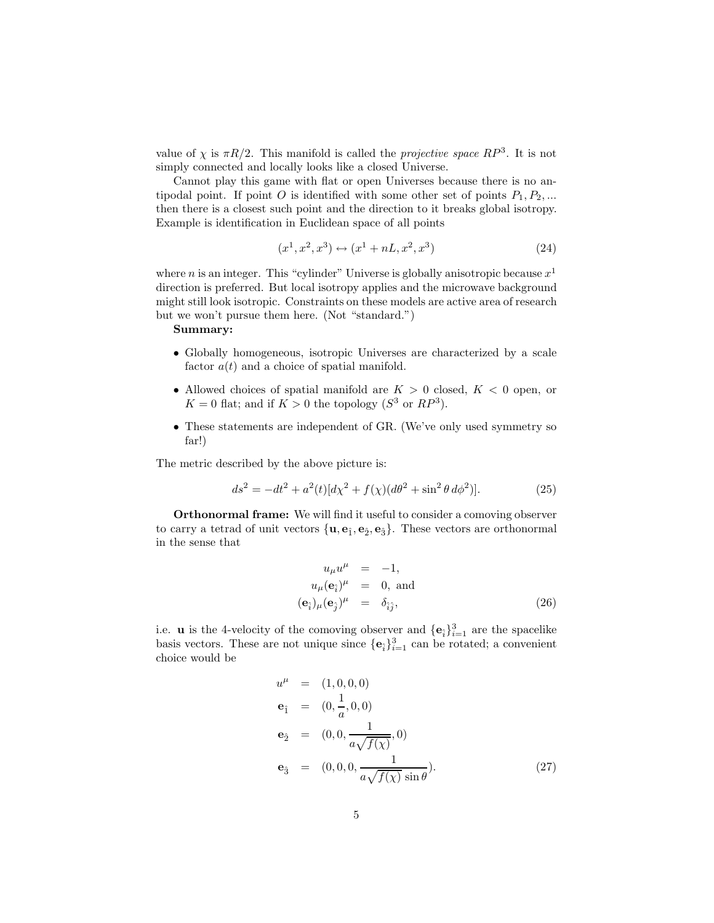value of  $\chi$  is  $\pi R/2$ . This manifold is called the *projective space RP*<sup>3</sup>. It is not simply connected and locally looks like a closed Universe.

Cannot play this game with flat or open Universes because there is no antipodal point. If point O is identified with some other set of points  $P_1, P_2, ...$ then there is a closest such point and the direction to it breaks global isotropy. Example is identification in Euclidean space of all points

$$
(x1, x2, x3) \leftrightarrow (x1 + nL, x2, x3)
$$
 (24)

where *n* is an integer. This "cylinder" Universe is globally anisotropic because  $x^1$ direction is preferred. But local isotropy applies and the microwave background might still look isotropic. Constraints on these models are active area of research but we won't pursue them here. (Not "standard.")

#### Summary:

- Globally homogeneous, isotropic Universes are characterized by a scale factor  $a(t)$  and a choice of spatial manifold.
- Allowed choices of spatial manifold are  $K > 0$  closed,  $K < 0$  open, or  $K = 0$  flat; and if  $K > 0$  the topology  $(S<sup>3</sup>$  or  $RP<sup>3</sup>)$ .
- These statements are independent of GR. (We've only used symmetry so far!)

The metric described by the above picture is:

$$
ds^{2} = -dt^{2} + a^{2}(t)[d\chi^{2} + f(\chi)(d\theta^{2} + \sin^{2}\theta \, d\phi^{2})].
$$
 (25)

Orthonormal frame: We will find it useful to consider a comoving observer to carry a tetrad of unit vectors  $\{\mathbf{u}, \mathbf{e}_{\hat{1}}, \mathbf{e}_{\hat{2}}, \mathbf{e}_{\hat{3}}\}$ . These vectors are orthonormal in the sense that

$$
u_{\mu}u^{\mu} = -1,
$$
  
\n
$$
u_{\mu}(\mathbf{e}_{\hat{i}})^{\mu} = 0, \text{ and}
$$
  
\n
$$
(\mathbf{e}_{\hat{i}})_{\mu}(\mathbf{e}_{\hat{j}})^{\mu} = \delta_{\hat{i}\hat{j}},
$$
\n(26)

i.e. **u** is the 4-velocity of the comoving observer and  $\{e_i\}_{i=1}^3$  are the spacelike basis vectors. These are not unique since  $\{\mathbf e_i\}_{i=1}^3$  can be rotated; a convenient choice would be

$$
u^{\mu} = (1, 0, 0, 0)
$$
  
\n
$$
\mathbf{e}_{\hat{1}} = (0, \frac{1}{a}, 0, 0)
$$
  
\n
$$
\mathbf{e}_{\hat{2}} = (0, 0, \frac{1}{a\sqrt{f(\chi)}}, 0)
$$
  
\n
$$
\mathbf{e}_{\hat{3}} = (0, 0, 0, \frac{1}{a\sqrt{f(\chi)}\sin\theta}).
$$
\n(27)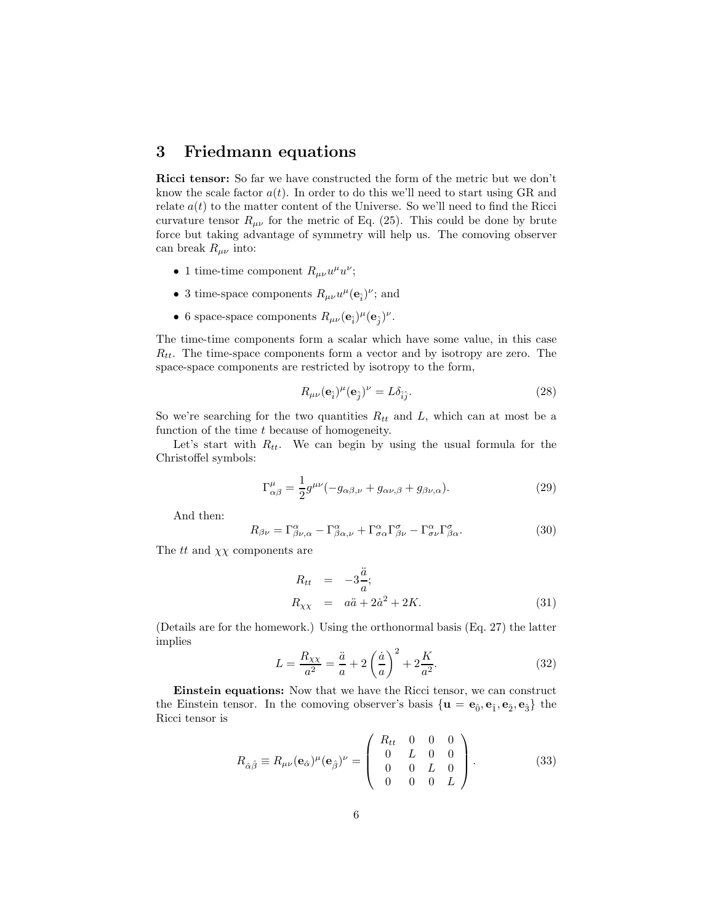## 3 Friedmann equations

Ricci tensor: So far we have constructed the form of the metric but we don't know the scale factor  $a(t)$ . In order to do this we'll need to start using GR and relate  $a(t)$  to the matter content of the Universe. So we'll need to find the Ricci curvature tensor  $R_{\mu\nu}$  for the metric of Eq. (25). This could be done by brute force but taking advantage of symmetry will help us. The comoving observer can break  $R_{\mu\nu}$  into:

- 1 time-time component  $R_{\mu\nu}u^{\mu}u^{\nu}$ ;
- 3 time-space components  $R_{\mu\nu}u^{\mu}(\mathbf{e}_{\hat{i}})^{\nu}$ ; and
- 6 space-space components  $R_{\mu\nu}(\mathbf{e}_{\hat{i}})^{\mu}(\mathbf{e}_{\hat{j}})^{\nu}$ .

The time-time components form a scalar which have some value, in this case  $R_{tt}$ . The time-space components form a vector and by isotropy are zero. The space-space components are restricted by isotropy to the form,

$$
R_{\mu\nu}(\mathbf{e}_{\hat{i}})^{\mu}(\mathbf{e}_{\hat{j}})^{\nu} = L\delta_{\hat{i}\hat{j}}.
$$
\n(28)

So we're searching for the two quantities  $R_{tt}$  and L, which can at most be a function of the time t because of homogeneity.

Let's start with  $R_{tt}$ . We can begin by using the usual formula for the Christoffel symbols:

$$
\Gamma^{\mu}_{\alpha\beta} = \frac{1}{2} g^{\mu\nu} (-g_{\alpha\beta,\nu} + g_{\alpha\nu,\beta} + g_{\beta\nu,\alpha}).
$$
\n(29)

And then:

$$
R_{\beta\nu} = \Gamma^{\alpha}_{\beta\nu,\alpha} - \Gamma^{\alpha}_{\beta\alpha,\nu} + \Gamma^{\alpha}_{\sigma\alpha}\Gamma^{\sigma}_{\beta\nu} - \Gamma^{\alpha}_{\sigma\nu}\Gamma^{\sigma}_{\beta\alpha}.
$$
 (30)

The  $tt$  and  $\chi\chi$  components are

$$
R_{tt} = -3\frac{\ddot{a}}{a};
$$
  
\n
$$
R_{\chi\chi} = a\ddot{a} + 2\dot{a}^2 + 2K.
$$
\n(31)

(Details are for the homework.) Using the orthonormal basis (Eq. 27) the latter implies

$$
L = \frac{R_{\chi\chi}}{a^2} = \frac{\ddot{a}}{a} + 2\left(\frac{\dot{a}}{a}\right)^2 + 2\frac{K}{a^2}.
$$
 (32)

Einstein equations: Now that we have the Ricci tensor, we can construct the Einstein tensor. In the comoving observer's basis  $\{u = e_0, e_1, e_2, e_3\}$  the Ricci tensor is

$$
R_{\hat{\alpha}\hat{\beta}} \equiv R_{\mu\nu}(\mathbf{e}_{\hat{\alpha}})^{\mu}(\mathbf{e}_{\hat{\beta}})^{\nu} = \begin{pmatrix} R_{tt} & 0 & 0 & 0 \\ 0 & L & 0 & 0 \\ 0 & 0 & L & 0 \\ 0 & 0 & 0 & L \end{pmatrix}.
$$
 (33)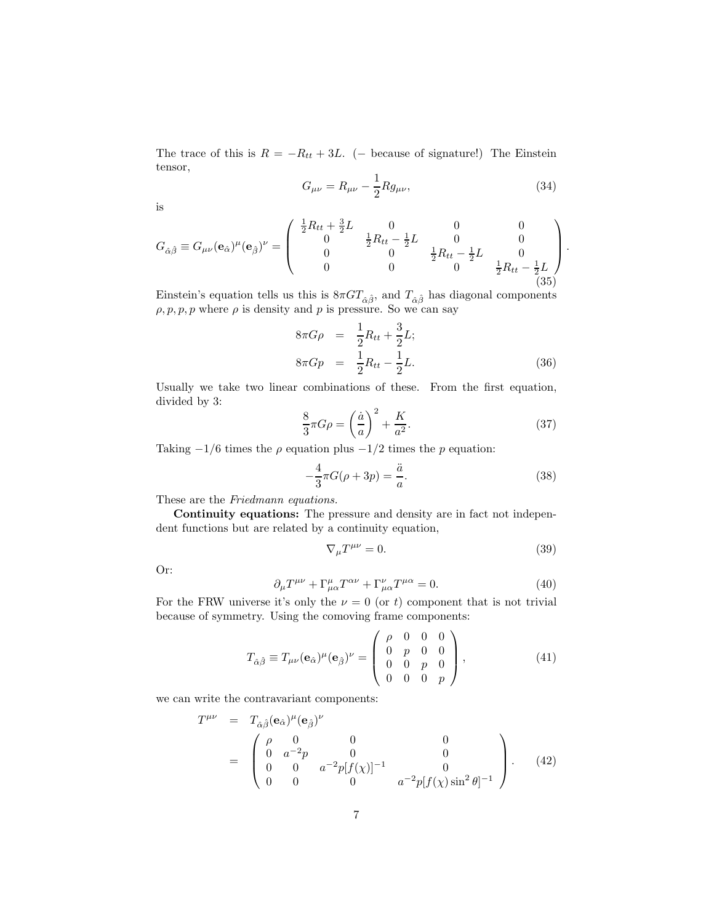The trace of this is  $R = -R_{tt} + 3L$ . (– because of signature!) The Einstein tensor,

$$
G_{\mu\nu} = R_{\mu\nu} - \frac{1}{2} R g_{\mu\nu},
$$
\n(34)

is

$$
G_{\hat{\alpha}\hat{\beta}} \equiv G_{\mu\nu}(\mathbf{e}_{\hat{\alpha}})^{\mu}(\mathbf{e}_{\hat{\beta}})^{\nu} = \begin{pmatrix} \frac{1}{2}R_{tt} + \frac{3}{2}L & 0 & 0 & 0\\ 0 & \frac{1}{2}R_{tt} - \frac{1}{2}L & 0 & 0\\ 0 & 0 & \frac{1}{2}R_{tt} - \frac{1}{2}L & 0\\ 0 & 0 & 0 & \frac{1}{2}R_{tt} - \frac{1}{2}L \end{pmatrix}.
$$
\n(35)

Einstein's equation tells us this is  $8\pi GT_{\hat{\alpha}\hat{\beta}}$ , and  $T_{\hat{\alpha}\hat{\beta}}$  has diagonal components  $\rho, p, p, p$  where  $\rho$  is density and p is pressure. So we can say

$$
8\pi G\rho = \frac{1}{2}R_{tt} + \frac{3}{2}L; \n8\pi Gp = \frac{1}{2}R_{tt} - \frac{1}{2}L.
$$
\n(36)

Usually we take two linear combinations of these. From the first equation, divided by 3:

$$
\frac{8}{3}\pi G\rho = \left(\frac{\dot{a}}{a}\right)^2 + \frac{K}{a^2}.\tag{37}
$$

Taking  $-1/6$  times the  $\rho$  equation plus  $-1/2$  times the p equation:

$$
-\frac{4}{3}\pi G(\rho+3p) = \frac{\ddot{a}}{a}.
$$
\n(38)

These are the Friedmann equations.

Continuity equations: The pressure and density are in fact not independent functions but are related by a continuity equation,

$$
\nabla_{\mu}T^{\mu\nu} = 0. \tag{39}
$$

Or:

$$
\partial_{\mu}T^{\mu\nu} + \Gamma^{\mu}_{\mu\alpha}T^{\alpha\nu} + \Gamma^{\nu}_{\mu\alpha}T^{\mu\alpha} = 0. \tag{40}
$$

For the FRW universe it's only the  $\nu = 0$  (or t) component that is not trivial because of symmetry. Using the comoving frame components:

$$
T_{\hat{\alpha}\hat{\beta}} \equiv T_{\mu\nu}(\mathbf{e}_{\hat{\alpha}})^{\mu}(\mathbf{e}_{\hat{\beta}})^{\nu} = \begin{pmatrix} \rho & 0 & 0 & 0 \\ 0 & p & 0 & 0 \\ 0 & 0 & p & 0 \\ 0 & 0 & 0 & p \end{pmatrix}, \tag{41}
$$

we can write the contravariant components:

$$
T^{\mu\nu} = T_{\hat{\alpha}\hat{\beta}}(\mathbf{e}_{\hat{\alpha}})^{\mu}(\mathbf{e}_{\hat{\beta}})^{\nu}
$$
  
= 
$$
\begin{pmatrix} \rho & 0 & 0 & 0 \\ 0 & a^{-2}p & 0 & 0 \\ 0 & 0 & a^{-2}p[f(\chi)]^{-1} & 0 \\ 0 & 0 & 0 & a^{-2}p[f(\chi)\sin^{2}\theta]^{-1} \end{pmatrix}.
$$
 (42)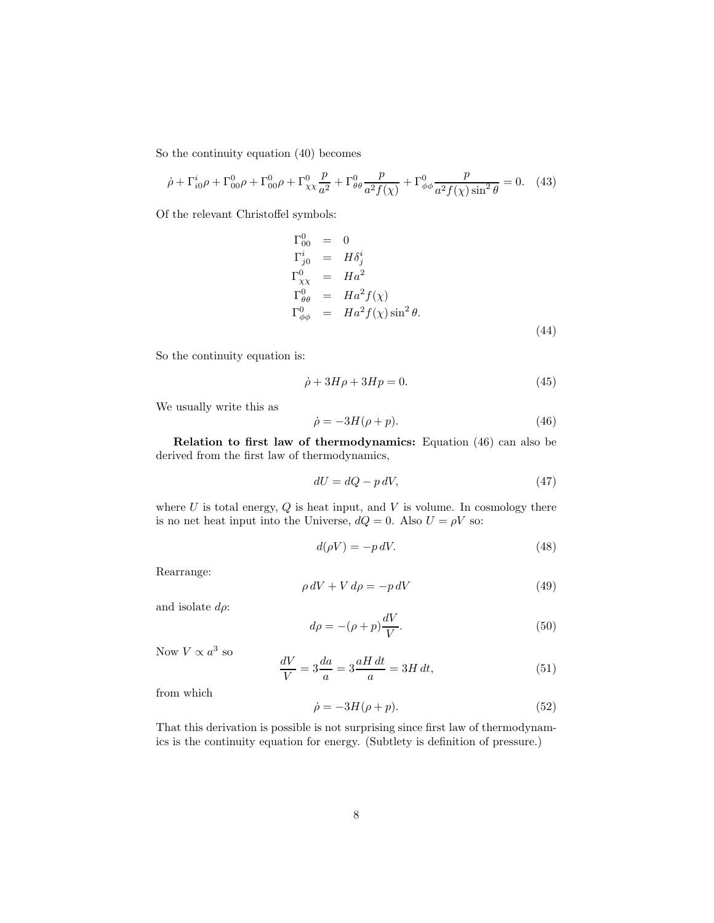So the continuity equation (40) becomes

$$
\dot{\rho} + \Gamma_{i0}^{i} \rho + \Gamma_{00}^{0} \rho + \Gamma_{00}^{0} \rho + \Gamma_{\chi \chi}^{0} \frac{p}{a^2} + \Gamma_{\theta \theta}^{0} \frac{p}{a^2 f(\chi)} + \Gamma_{\phi \phi}^{0} \frac{p}{a^2 f(\chi) \sin^2 \theta} = 0. \quad (43)
$$

Of the relevant Christoffel symbols:

$$
\Gamma_{00}^{0} = 0
$$
  
\n
$$
\Gamma_{j0}^{i} = H\delta_{j}^{i}
$$
  
\n
$$
\Gamma_{\chi\chi}^{0} = H a^{2}
$$
  
\n
$$
\Gamma_{\theta\theta}^{0} = H a^{2} f(\chi)
$$
  
\n
$$
\Gamma_{\phi\phi}^{0} = H a^{2} f(\chi) \sin^{2} \theta.
$$
\n(44)

So the continuity equation is:

$$
\dot{\rho} + 3H\rho + 3Hp = 0.\tag{45}
$$

We usually write this as

$$
\dot{\rho} = -3H(\rho + p). \tag{46}
$$

Relation to first law of thermodynamics: Equation (46) can also be derived from the first law of thermodynamics,

$$
dU = dQ - p dV, \t\t(47)
$$

where  $U$  is total energy,  $Q$  is heat input, and  $V$  is volume. In cosmology there is no net heat input into the Universe,  $dQ = 0$ . Also  $U = \rho V$  so:

$$
d(\rho V) = -p \, dV. \tag{48}
$$

Rearrange:

$$
\rho \, dV + V \, d\rho = -p \, dV \tag{49}
$$

and isolate  $d\rho$ :

$$
d\rho = -(\rho + p)\frac{dV}{V}.\tag{50}
$$

Now  $V \propto a^3$  so

$$
\frac{dV}{V} = 3\frac{da}{a} = 3\frac{aH dt}{a} = 3H dt,\tag{51}
$$

from which

$$
\dot{\rho} = -3H(\rho + p). \tag{52}
$$

That this derivation is possible is not surprising since first law of thermodynamics is the continuity equation for energy. (Subtlety is definition of pressure.)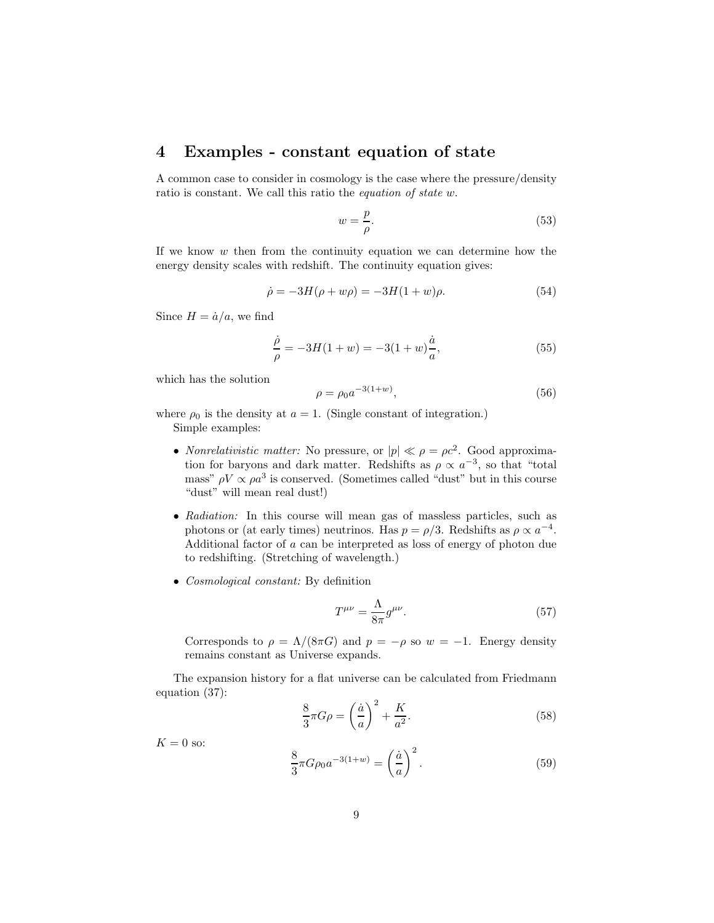### 4 Examples - constant equation of state

A common case to consider in cosmology is the case where the pressure/density ratio is constant. We call this ratio the equation of state w.

$$
w = \frac{p}{\rho}.\tag{53}
$$

If we know  $w$  then from the continuity equation we can determine how the energy density scales with redshift. The continuity equation gives:

$$
\dot{\rho} = -3H(\rho + w\rho) = -3H(1+w)\rho.
$$
\n(54)

Since  $H = \dot{a}/a$ , we find

$$
\frac{\dot{\rho}}{\rho} = -3H(1+w) = -3(1+w)\frac{\dot{a}}{a},\tag{55}
$$

which has the solution

$$
\rho = \rho_0 a^{-3(1+w)},\tag{56}
$$

where  $\rho_0$  is the density at  $a = 1$ . (Single constant of integration.) Simple examples:

- *Nonrelativistic matter:* No pressure, or  $|p| \ll \rho = \rho c^2$ . Good approximation for baryons and dark matter. Redshifts as  $\rho \propto a^{-3}$ , so that "total mass"  $\rho V \propto \rho a^3$  is conserved. (Sometimes called "dust" but in this course "dust" will mean real dust!)
- Radiation: In this course will mean gas of massless particles, such as photons or (at early times) neutrinos. Has  $p = \rho/3$ . Redshifts as  $\rho \propto a^{-4}$ . Additional factor of a can be interpreted as loss of energy of photon due to redshifting. (Stretching of wavelength.)
- Cosmological constant: By definition

$$
T^{\mu\nu} = \frac{\Lambda}{8\pi} g^{\mu\nu}.
$$
\n(57)

Corresponds to  $\rho = \Lambda/(8\pi G)$  and  $p = -\rho$  so  $w = -1$ . Energy density remains constant as Universe expands.

The expansion history for a flat universe can be calculated from Friedmann equation (37):

$$
\frac{8}{3}\pi G\rho = \left(\frac{\dot{a}}{a}\right)^2 + \frac{K}{a^2}.\tag{58}
$$

 $K = 0$  so:

$$
\frac{8}{3}\pi G\rho_0 a^{-3(1+w)} = \left(\frac{\dot{a}}{a}\right)^2.
$$
 (59)